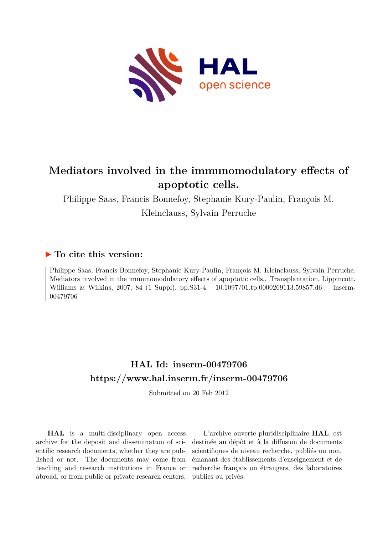

# **Mediators involved in the immunomodulatory effects of apoptotic cells.**

Philippe Saas, Francis Bonnefoy, Stephanie Kury-Paulin, François M. Kleinclauss, Sylvain Perruche

# **To cite this version:**

Philippe Saas, Francis Bonnefoy, Stephanie Kury-Paulin, François M. Kleinclauss, Sylvain Perruche. Mediators involved in the immunomodulatory effects of apoptotic cells.. Transplantation, Lippincott, Williams & Wilkins, 2007, 84 (1 Suppl), pp.S31-4.  $10.1097/01.tp.0000269113.59857.d6$ . inserm-00479706ff

# **HAL Id: inserm-00479706 <https://www.hal.inserm.fr/inserm-00479706>**

Submitted on 20 Feb 2012

**HAL** is a multi-disciplinary open access archive for the deposit and dissemination of scientific research documents, whether they are published or not. The documents may come from teaching and research institutions in France or abroad, or from public or private research centers.

L'archive ouverte pluridisciplinaire **HAL**, est destinée au dépôt et à la diffusion de documents scientifiques de niveau recherche, publiés ou non, émanant des établissements d'enseignement et de recherche français ou étrangers, des laboratoires publics ou privés.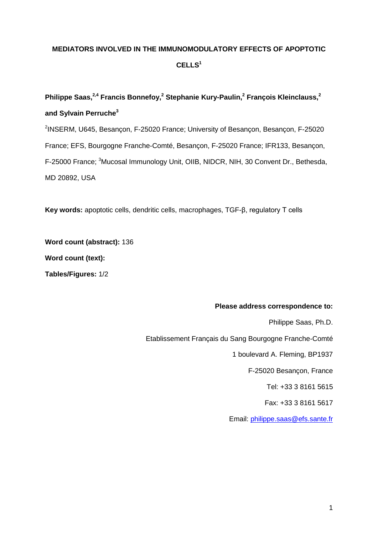# **MEDIATORS INVOLVED IN THE IMMUNOMODULATORY EFFECTS OF APOPTOTIC CELLS<sup>1</sup>**

# **Philippe Saas, 2,4 Francis Bonnefoy,<sup>2</sup> Stephanie Kury-Paulin, <sup>2</sup> François Kleinclauss,<sup>2</sup> and Sylvain Perruche<sup>3</sup>**

<sup>2</sup>INSERM, U645, Besançon, F-25020 France; University of Besançon, Besançon, F-25020 France; EFS, Bourgogne Franche-Comté, Besançon, F-25020 France; IFR133, Besançon, F-25000 France; <sup>3</sup>Mucosal Immunology Unit, OIIB, NIDCR, NIH, 30 Convent Dr., Bethesda, MD 20892, USA

**Key words:** apoptotic cells, dendritic cells, macrophages, TGF-β, regulatory T cells

**Word count (abstract):** 136 **Word count (text): Tables/Figures:** 1/2

### **Please address correspondence to:**

Philippe Saas, Ph.D. Etablissement Français du Sang Bourgogne Franche-Comté 1 boulevard A. Fleming, BP1937 F-25020 Besançon, France Tel: +33 3 8161 5615 Fax: +33 3 8161 5617 Email: [philippe.saas@efs.sante.fr](mailto:philippe.saas@efs.sante.fr)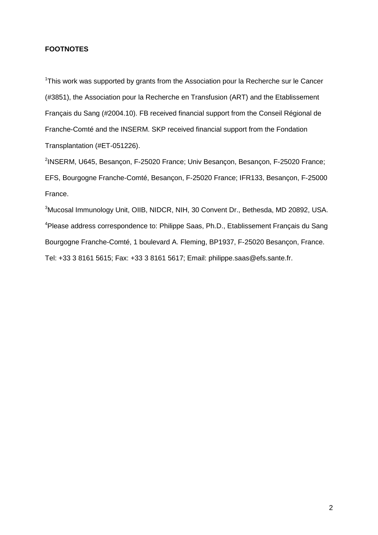### **FOOTNOTES**

<sup>1</sup>This work was supported by grants from the Association pour la Recherche sur le Cancer (#3851), the Association pour la Recherche en Transfusion (ART) and the Etablissement Français du Sang (#2004.10). FB received financial support from the Conseil Régional de Franche-Comté and the INSERM. SKP received financial support from the Fondation Transplantation (#ET-051226).

<sup>2</sup>INSERM, U645, Besançon, F-25020 France; Univ Besançon, Besançon, F-25020 France; EFS, Bourgogne Franche-Comté, Besançon, F-25020 France; IFR133, Besançon, F-25000 France.

<sup>3</sup>Mucosal Immunology Unit, OIIB, NIDCR, NIH, 30 Convent Dr., Bethesda, MD 20892, USA. <sup>4</sup> Please address correspondence to: Philippe Saas, Ph.D., Etablissement Français du Sang Bourgogne Franche-Comté, 1 boulevard A. Fleming, BP1937, F-25020 Besançon, France. Tel: +33 3 8161 5615; Fax: +33 3 8161 5617; Email: philippe.saas@efs.sante.fr.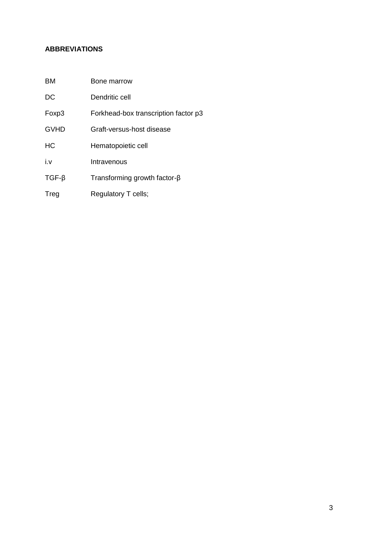# **ABBREVIATIONS**

| DC          | Dendritic cell                       |
|-------------|--------------------------------------|
| Foxp3       | Forkhead-box transcription factor p3 |
| <b>GVHD</b> | Graft-versus-host disease            |
| <b>HC</b>   | Hematopoietic cell                   |
| i.v         | Intravenous                          |
| $TGF-\beta$ | Transforming growth factor- $\beta$  |
| Treg        | Regulatory T cells;                  |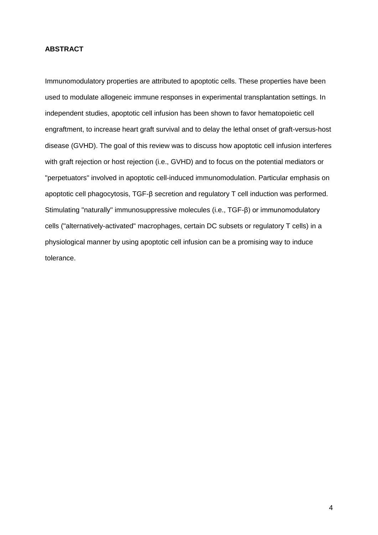## **ABSTRACT**

Immunomodulatory properties are attributed to apoptotic cells. These properties have been used to modulate allogeneic immune responses in experimental transplantation settings. In independent studies, apoptotic cell infusion has been shown to favor hematopoietic cell engraftment, to increase heart graft survival and to delay the lethal onset of graft-versus-host disease (GVHD). The goal of this review was to discuss how apoptotic cell infusion interferes with graft rejection or host rejection (i.e., GVHD) and to focus on the potential mediators or "perpetuators" involved in apoptotic cell-induced immunomodulation. Particular emphasis on apoptotic cell phagocytosis, TGF-β secretion and regulatory T cell induction was performed. Stimulating "naturally" immunosuppressive molecules (i.e., TGF-β) or immunomodulatory cells ("alternatively-activated" macrophages, certain DC subsets or regulatory T cells) in a physiological manner by using apoptotic cell infusion can be a promising way to induce tolerance.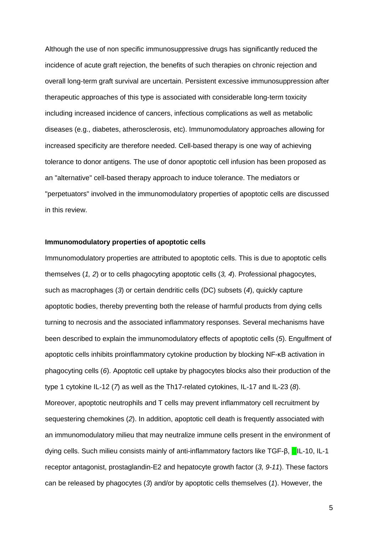Although the use of non specific immunosuppressive drugs has significantly reduced the incidence of acute graft rejection, the benefits of such therapies on chronic rejection and overall long-term graft survival are uncertain. Persistent excessive immunosuppression after therapeutic approaches of this type is associated with considerable long-term toxicity including increased incidence of cancers, infectious complications as well as metabolic diseases (e.g., diabetes, atherosclerosis, etc). Immunomodulatory approaches allowing for increased specificity are therefore needed. Cell-based therapy is one way of achieving tolerance to donor antigens. The use of donor apoptotic cell infusion has been proposed as an "alternative" cell-based therapy approach to induce tolerance. The mediators or "perpetuators" involved in the immunomodulatory properties of apoptotic cells are discussed in this review.

#### **Immunomodulatory properties of apoptotic cells**

Immunomodulatory properties are attributed to apoptotic cells. This is due to apoptotic cells themselves (*1, 2*) or to cells phagocyting apoptotic cells (*3, 4*). Professional phagocytes, such as macrophages (*3*) or certain dendritic cells (DC) subsets (*4*), quickly capture apoptotic bodies, thereby preventing both the release of harmful products from dying cells turning to necrosis and the associated inflammatory responses. Several mechanisms have been described to explain the immunomodulatory effects of apoptotic cells (*5*). Engulfment of apoptotic cells inhibits proinflammatory cytokine production by blocking NF-κB activation in phagocyting cells (*6*). Apoptotic cell uptake by phagocytes blocks also their production of the type 1 cytokine IL-12 (*7*) as well as the Th17-related cytokines, IL-17 and IL-23 (*8*). Moreover, apoptotic neutrophils and T cells may prevent inflammatory cell recruitment by sequestering chemokines (*2*). In addition, apoptotic cell death is frequently associated with an immunomodulatory milieu that may neutralize immune cells present in the environment of dying cells. Such milieu consists mainly of anti-inflammatory factors like TGF-β, **DIL-10, IL-1** receptor antagonist, prostaglandin-E2 and hepatocyte growth factor (*3, 9-11*). These factors can be released by phagocytes (*3*) and/or by apoptotic cells themselves (*1*). However, the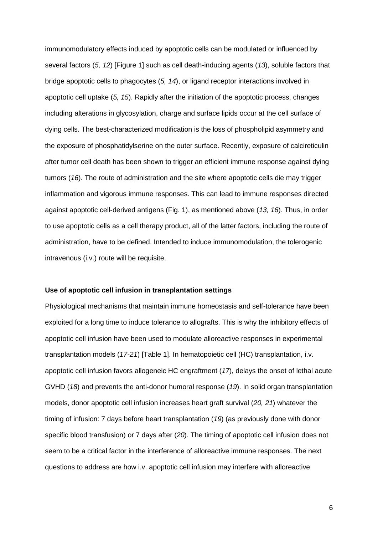immunomodulatory effects induced by apoptotic cells can be modulated or influenced by several factors (*5, 12*) [Figure 1] such as cell death-inducing agents (*13*), soluble factors that bridge apoptotic cells to phagocytes (*5, 14*), or ligand receptor interactions involved in apoptotic cell uptake (*5, 15*). Rapidly after the initiation of the apoptotic process, changes including alterations in glycosylation, charge and surface lipids occur at the cell surface of dying cells. The best-characterized modification is the loss of phospholipid asymmetry and the exposure of phosphatidylserine on the outer surface. Recently, exposure of calcireticulin after tumor cell death has been shown to trigger an efficient immune response against dying tumors (*16*). The route of administration and the site where apoptotic cells die may trigger inflammation and vigorous immune responses. This can lead to immune responses directed against apoptotic cell-derived antigens (Fig. 1), as mentioned above (*13, 16*). Thus, in order to use apoptotic cells as a cell therapy product, all of the latter factors, including the route of administration, have to be defined. Intended to induce immunomodulation, the tolerogenic intravenous (i.v.) route will be requisite.

#### **Use of apoptotic cell infusion in transplantation settings**

Physiological mechanisms that maintain immune homeostasis and self-tolerance have been exploited for a long time to induce tolerance to allografts. This is why the inhibitory effects of apoptotic cell infusion have been used to modulate alloreactive responses in experimental transplantation models (*17-21*) [Table 1]. In hematopoietic cell (HC) transplantation, i.v. apoptotic cell infusion favors allogeneic HC engraftment (*17*), delays the onset of lethal acute GVHD (*18*) and prevents the anti-donor humoral response (*19*). In solid organ transplantation models, donor apoptotic cell infusion increases heart graft survival (*20, 21*) whatever the timing of infusion: 7 days before heart transplantation (*19*) (as previously done with donor specific blood transfusion) or 7 days after (*20*). The timing of apoptotic cell infusion does not seem to be a critical factor in the interference of alloreactive immune responses. The next questions to address are how i.v. apoptotic cell infusion may interfere with alloreactive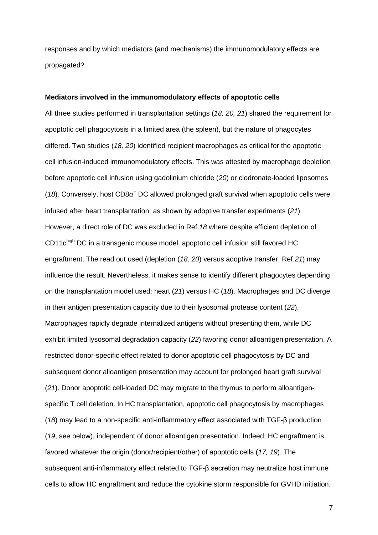responses and by which mediators (and mechanisms) the immunomodulatory effects are propagated?

#### **Mediators involved in the immunomodulatory effects of apoptotic cells**

All three studies performed in transplantation settings (*18, 20, 21*) shared the requirement for apoptotic cell phagocytosis in a limited area (the spleen), but the nature of phagocytes differed. Two studies (*18, 20*) identified recipient macrophages as critical for the apoptotic cell infusion-induced immunomodulatory effects. This was attested by macrophage depletion before apoptotic cell infusion using gadolinium chloride (*20*) or clodronate-loaded liposomes ( $18$ ). Conversely, host CD8 $\alpha^+$  DC allowed prolonged graft survival when apoptotic cells were infused after heart transplantation, as shown by adoptive transfer experiments (*21*). However, a direct role of DC was excluded in Ref.*18* where despite efficient depletion of CD11c<sup>high</sup> DC in a transgenic mouse model, apoptotic cell infusion still favored HC engraftment. The read out used (depletion (*18, 20*) versus adoptive transfer, Ref.*21*) may influence the result. Nevertheless, it makes sense to identify different phagocytes depending on the transplantation model used: heart (*21*) versus HC (*18*). Macrophages and DC diverge in their antigen presentation capacity due to their lysosomal protease content (*22*). Macrophages rapidly degrade internalized antigens without presenting them, while DC exhibit limited lysosomal degradation capacity (*22*) favoring donor alloantigen presentation. A restricted donor-specific effect related to donor apoptotic cell phagocytosis by DC and subsequent donor alloantigen presentation may account for prolonged heart graft survival (*21*). Donor apoptotic cell-loaded DC may migrate to the thymus to perform alloantigenspecific T cell deletion. In HC transplantation, apoptotic cell phagocytosis by macrophages (*18*) may lead to a non-specific anti-inflammatory effect associated with TGF-β production (*19*, see below), independent of donor alloantigen presentation. Indeed, HC engraftment is favored whatever the origin (donor/recipient/other) of apoptotic cells (*17, 19*). The subsequent anti-inflammatory effect related to TGF-β secretion may neutralize host immune cells to allow HC engraftment and reduce the cytokine storm responsible for GVHD initiation.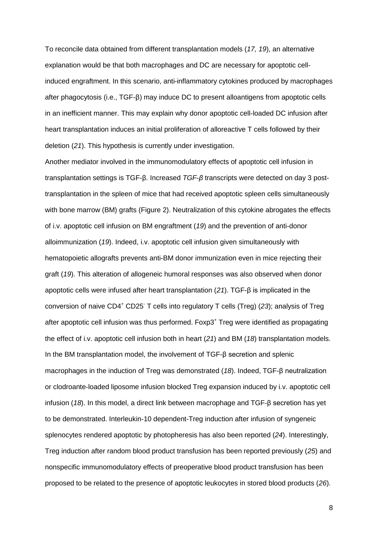To reconcile data obtained from different transplantation models (*17, 19*), an alternative explanation would be that both macrophages and DC are necessary for apoptotic cellinduced engraftment. In this scenario, anti-inflammatory cytokines produced by macrophages after phagocytosis (i.e., TGF-β) may induce DC to present alloantigens from apoptotic cells in an inefficient manner. This may explain why donor apoptotic cell-loaded DC infusion after heart transplantation induces an initial proliferation of alloreactive T cells followed by their deletion (*21*). This hypothesis is currently under investigation.

Another mediator involved in the immunomodulatory effects of apoptotic cell infusion in transplantation settings is TGF-β. Increased *TGF-β* transcripts were detected on day 3 posttransplantation in the spleen of mice that had received apoptotic spleen cells simultaneously with bone marrow (BM) grafts (Figure 2). Neutralization of this cytokine abrogates the effects of i.v. apoptotic cell infusion on BM engraftment (*19*) and the prevention of anti-donor alloimmunization (*19*). Indeed, i.v. apoptotic cell infusion given simultaneously with hematopoietic allografts prevents anti-BM donor immunization even in mice rejecting their graft (*19*). This alteration of allogeneic humoral responses was also observed when donor apoptotic cells were infused after heart transplantation (*21*). TGF-β is implicated in the conversion of naive CD4<sup>+</sup> CD25- T cells into regulatory T cells (Treg) (*23*); analysis of Treg after apoptotic cell infusion was thus performed. Foxp3<sup>+</sup> Treg were identified as propagating the effect of i.v. apoptotic cell infusion both in heart (*21*) and BM (*18*) transplantation models. In the BM transplantation model, the involvement of TGF-β secretion and splenic macrophages in the induction of Treg was demonstrated (*18*). Indeed, TGF-β neutralization or clodroante-loaded liposome infusion blocked Treg expansion induced by i.v. apoptotic cell infusion (*18*). In this model, a direct link between macrophage and TGF-β secretion has yet to be demonstrated. Interleukin-10 dependent-Treg induction after infusion of syngeneic splenocytes rendered apoptotic by photopheresis has also been reported (*24*). Interestingly, Treg induction after random blood product transfusion has been reported previously (*25*) and nonspecific immunomodulatory effects of preoperative blood product transfusion has been proposed to be related to the presence of apoptotic leukocytes in stored blood products (*26*).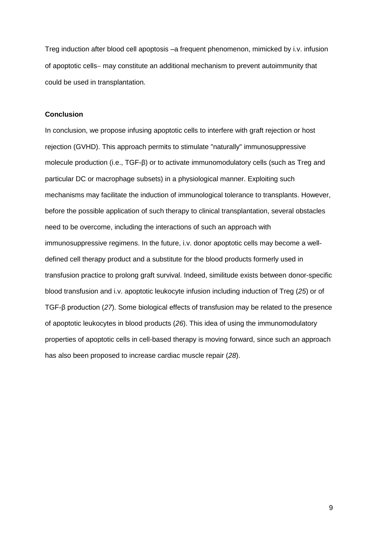Treg induction after blood cell apoptosis –a frequent phenomenon, mimicked by i.v. infusion of apoptotic cells may constitute an additional mechanism to prevent autoimmunity that could be used in transplantation.

#### **Conclusion**

In conclusion, we propose infusing apoptotic cells to interfere with graft rejection or host rejection (GVHD). This approach permits to stimulate "naturally" immunosuppressive molecule production (i.e., TGF-β) or to activate immunomodulatory cells (such as Treg and particular DC or macrophage subsets) in a physiological manner. Exploiting such mechanisms may facilitate the induction of immunological tolerance to transplants. However, before the possible application of such therapy to clinical transplantation, several obstacles need to be overcome, including the interactions of such an approach with immunosuppressive regimens. In the future, i.v. donor apoptotic cells may become a welldefined cell therapy product and a substitute for the blood products formerly used in transfusion practice to prolong graft survival. Indeed, similitude exists between donor-specific blood transfusion and i.v. apoptotic leukocyte infusion including induction of Treg (*25*) or of TGF-β production (*27*). Some biological effects of transfusion may be related to the presence of apoptotic leukocytes in blood products (*26*). This idea of using the immunomodulatory properties of apoptotic cells in cell-based therapy is moving forward, since such an approach has also been proposed to increase cardiac muscle repair (*28*).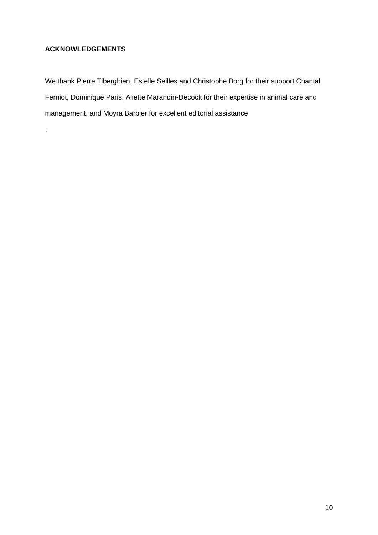# **ACKNOWLEDGEMENTS**

.

We thank Pierre Tiberghien, Estelle Seilles and Christophe Borg for their support Chantal Ferniot, Dominique Paris, Aliette Marandin-Decock for their expertise in animal care and management, and Moyra Barbier for excellent editorial assistance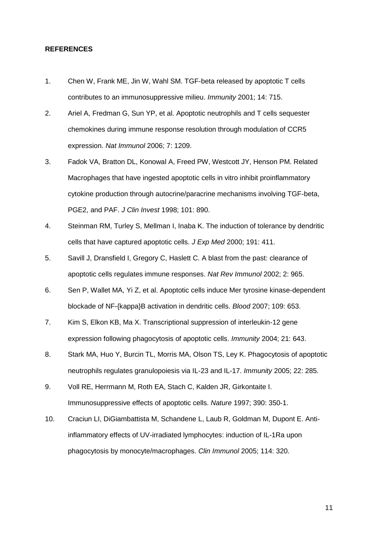#### **REFERENCES**

- 1. Chen W, Frank ME, Jin W, Wahl SM. TGF-beta released by apoptotic T cells contributes to an immunosuppressive milieu. *Immunity* 2001; 14: 715.
- 2. Ariel A, Fredman G, Sun YP, et al. Apoptotic neutrophils and T cells sequester chemokines during immune response resolution through modulation of CCR5 expression. *Nat Immunol* 2006; 7: 1209.
- 3. Fadok VA, Bratton DL, Konowal A, Freed PW, Westcott JY, Henson PM. Related Macrophages that have ingested apoptotic cells in vitro inhibit proinflammatory cytokine production through autocrine/paracrine mechanisms involving TGF-beta, PGE2, and PAF. *J Clin Invest* 1998; 101: 890.
- 4. Steinman RM, Turley S, Mellman I, Inaba K. The induction of tolerance by dendritic cells that have captured apoptotic cells. *J Exp Med* 2000; 191: 411.
- 5. Savill J, Dransfield I, Gregory C, Haslett C. A blast from the past: clearance of apoptotic cells regulates immune responses. *Nat Rev Immunol* 2002; 2: 965.
- 6. Sen P, Wallet MA, Yi Z, et al. Apoptotic cells induce Mer tyrosine kinase-dependent blockade of NF-{kappa}B activation in dendritic cells. *Blood* 2007; 109: 653.
- 7. Kim S, Elkon KB, Ma X. Transcriptional suppression of interleukin-12 gene expression following phagocytosis of apoptotic cells. *Immunity* 2004; 21: 643.
- 8. Stark MA, Huo Y, Burcin TL, Morris MA, Olson TS, Ley K. Phagocytosis of apoptotic neutrophils regulates granulopoiesis via IL-23 and IL-17. *Immunity* 2005; 22: 285.
- 9. Voll RE, Herrmann M, Roth EA, Stach C, Kalden JR, Girkontaite I. Immunosuppressive effects of apoptotic cells. *Nature* 1997; 390: 350-1.
- 10. Craciun LI, DiGiambattista M, Schandene L, Laub R, Goldman M, Dupont E. Antiinflammatory effects of UV-irradiated lymphocytes: induction of IL-1Ra upon phagocytosis by monocyte/macrophages. *Clin Immunol* 2005; 114: 320.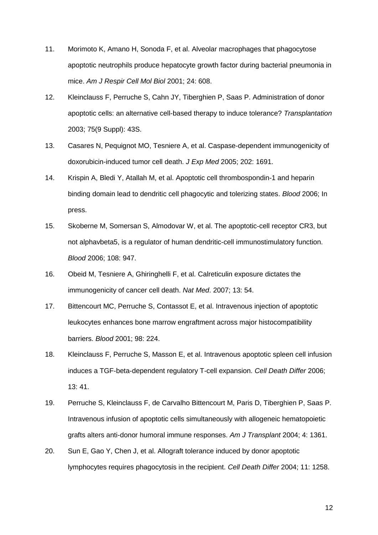- 11. Morimoto K, Amano H, Sonoda F, et al. Alveolar macrophages that phagocytose apoptotic neutrophils produce hepatocyte growth factor during bacterial pneumonia in mice. *Am J Respir Cell Mol Biol* 2001; 24: 608.
- 12. Kleinclauss F, Perruche S, Cahn JY, Tiberghien P, Saas P. Administration of donor apoptotic cells: an alternative cell-based therapy to induce tolerance? *Transplantation* 2003; 75(9 Suppl): 43S.
- 13. Casares N, Pequignot MO, Tesniere A, et al. Caspase-dependent immunogenicity of doxorubicin-induced tumor cell death. *J Exp Med* 2005; 202: 1691.
- 14. Krispin A, Bledi Y, Atallah M, et al. Apoptotic cell thrombospondin-1 and heparin binding domain lead to dendritic cell phagocytic and tolerizing states. *Blood* 2006; In press.
- 15. Skoberne M, Somersan S, Almodovar W, et al. The apoptotic-cell receptor CR3, but not alphavbeta5, is a regulator of human dendritic-cell immunostimulatory function. *Blood* 2006; 108: 947.
- 16. Obeid M, Tesniere A, Ghiringhelli F, et al. Calreticulin exposure dictates the immunogenicity of cancer cell death. *Nat Med*. 2007; 13: 54.
- 17. Bittencourt MC, Perruche S, Contassot E, et al. Intravenous injection of apoptotic leukocytes enhances bone marrow engraftment across major histocompatibility barriers. *Blood* 2001; 98: 224.
- 18. Kleinclauss F, Perruche S, Masson E, et al. Intravenous apoptotic spleen cell infusion induces a TGF-beta-dependent regulatory T-cell expansion. *Cell Death Differ* 2006; 13: 41.
- 19. Perruche S, Kleinclauss F, de Carvalho Bittencourt M, Paris D, Tiberghien P, Saas P. Intravenous infusion of apoptotic cells simultaneously with allogeneic hematopoietic grafts alters anti-donor humoral immune responses. *Am J Transplant* 2004; 4: 1361.
- 20. Sun E, Gao Y, Chen J, et al. Allograft tolerance induced by donor apoptotic lymphocytes requires phagocytosis in the recipient. *Cell Death Differ* 2004; 11: 1258.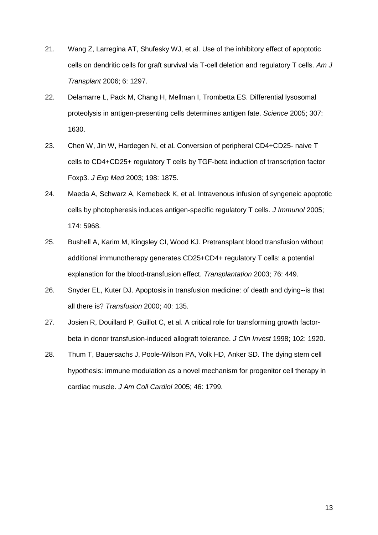- 21. Wang Z, Larregina AT, Shufesky WJ, et al. Use of the inhibitory effect of apoptotic cells on dendritic cells for graft survival via T-cell deletion and regulatory T cells. *Am J Transplant* 2006; 6: 1297.
- 22. Delamarre L, Pack M, Chang H, Mellman I, Trombetta ES. Differential lysosomal proteolysis in antigen-presenting cells determines antigen fate. *Science* 2005; 307: 1630.
- 23. Chen W, Jin W, Hardegen N, et al. Conversion of peripheral CD4+CD25- naive T cells to CD4+CD25+ regulatory T cells by TGF-beta induction of transcription factor Foxp3. *J Exp Med* 2003; 198: 1875.
- 24. Maeda A, Schwarz A, Kernebeck K, et al. Intravenous infusion of syngeneic apoptotic cells by photopheresis induces antigen-specific regulatory T cells. *J Immunol* 2005; 174: 5968.
- 25. Bushell A, Karim M, Kingsley CI, Wood KJ. Pretransplant blood transfusion without additional immunotherapy generates CD25+CD4+ regulatory T cells: a potential explanation for the blood-transfusion effect. *Transplantation* 2003; 76: 449.
- 26. Snyder EL, Kuter DJ. Apoptosis in transfusion medicine: of death and dying--is that all there is? *Transfusion* 2000; 40: 135.
- 27. Josien R, Douillard P, Guillot C, et al. A critical role for transforming growth factorbeta in donor transfusion-induced allograft tolerance. *J Clin Invest* 1998; 102: 1920.
- 28. Thum T, Bauersachs J, Poole-Wilson PA, Volk HD, Anker SD. The dying stem cell hypothesis: immune modulation as a novel mechanism for progenitor cell therapy in cardiac muscle. *J Am Coll Cardiol* 2005; 46: 1799.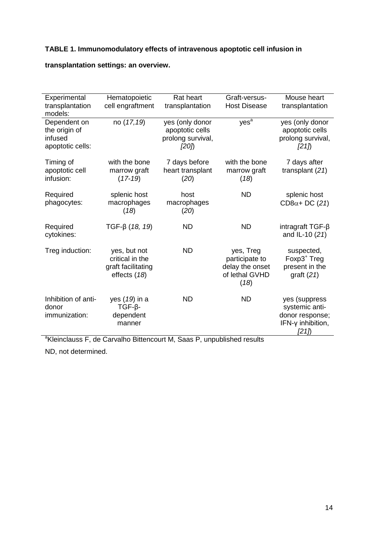## **TABLE 1. Immunomodulatory effects of intravenous apoptotic cell infusion in**

#### **Experimental** transplantation models: Hematopoietic cell engraftment Rat heart transplantation Graft-versus-Host Disease Mouse heart transplantation Dependent on the origin of infused apoptotic cells: no (*17,19*) yes (only donor apoptotic cells prolong survival, *[20]*)  $ves<sup>a</sup>$ yes (only donor apoptotic cells prolong survival, *[21]*) Timing of apoptotic cell infusion: with the bone marrow graft (*17-19*) 7 days before heart transplant (*20*) with the bone marrow graft (*18*) 7 days after transplant (*21*) **Required** phagocytes: splenic host macrophages (*18*) host macrophages (*20*) ND splenic host  $CD8\alpha + DC$  (21) Required cytokines: TGF-β (18, 19) ND ND intragraft TGF-β and IL-10 (*21*) Treg induction: yes, but not critical in the graft facilitating effects (*18*) ND yes, Treg participate to delay the onset of lethal GVHD (*18*) suspected,  $F$ oxp $3<sup>+</sup>$  Treg present in the graft (*21*) Inhibition of antidonor immunization: yes (*19*) in a TGF-βdependent manner ND ND yes (suppress systemic antidonor response; IFN-γ inhibition, *[21]*)

### **transplantation settings: an overview.**

<sup>a</sup>Kleinclauss F, de Carvalho Bittencourt M, Saas P, unpublished results

ND, not determined.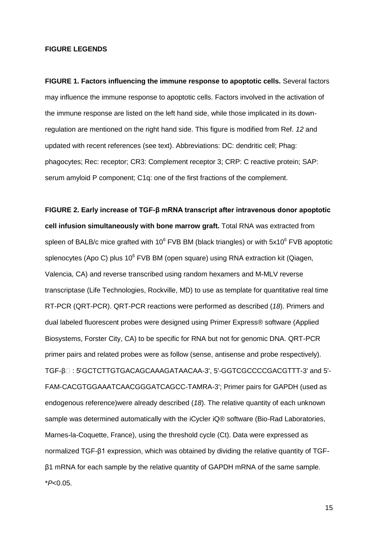### **FIGURE LEGENDS**

**FIGURE 1. Factors influencing the immune response to apoptotic cells.** Several factors may influence the immune response to apoptotic cells. Factors involved in the activation of the immune response are listed on the left hand side, while those implicated in its downregulation are mentioned on the right hand side. This figure is modified from Ref. *12* and updated with recent references (see text). Abbreviations: DC: dendritic cell; Phag: phagocytes; Rec: receptor; CR3: Complement receptor 3; CRP: C reactive protein; SAP: serum amyloid P component; C1q: one of the first fractions of the complement.

**FIGURE 2. Early increase of TGF-β mRNA transcript after intravenous donor apoptotic cell infusion simultaneously with bone marrow graft.** Total RNA was extracted from spleen of BALB/c mice grafted with  $10^6$  FVB BM (black triangles) or with  $5x10^6$  FVB apoptotic splenocytes (Apo C) plus  $10^6$  FVB BM (open square) using RNA extraction kit (Qiagen, Valencia, CA) and reverse transcribed using random hexamers and M-MLV reverse transcriptase (Life Technologies, Rockville, MD) to use as template for quantitative real time RT-PCR (QRT-PCR). QRT-PCR reactions were performed as described (*18*). Primers and dual labeled fluorescent probes were designed using Primer Express® software (Applied Biosystems, Forster City, CA) to be specific for RNA but not for genomic DNA. QRT-PCR primer pairs and related probes were as follow (sense, antisense and probe respectively). TGF-β $\Box$ : 5'-GCTCTTGTGACAGCAAAGATAACAA-3', 5'-GGTCGCCCCGACGTTT-3' and 5'-FAM-CACGTGGAAATCAACGGGATCAGCC-TAMRA-3'; Primer pairs for GAPDH (used as endogenous reference)were already described (*18*). The relative quantity of each unknown sample was determined automatically with the iCycler iQ® software (Bio-Rad Laboratories, Marnes-la-Coquette, France), using the threshold cycle (Ct). Data were expressed as normalized TGF-β1 expression, which was obtained by dividing the relative quantity of TGFβ1 mRNA for each sample by the relative quantity of GAPDH mRNA of the same sample. \**P*<0.05.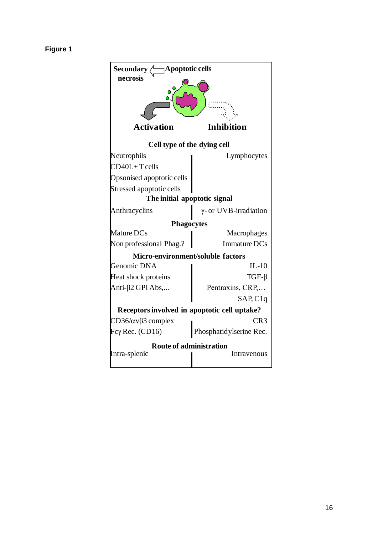# **Figure 1**